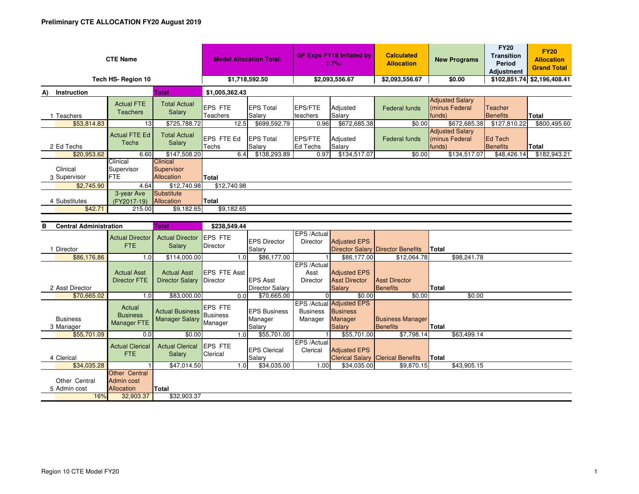|                          | <b>CTE Name</b>                      |                                                    |                             | <b>Model Allocation Total:</b> |                            | <b>GF Exps FY18 Inflated by</b><br>1.7%: | <b>Calculated</b><br><b>Allocation</b> | <b>New Programs</b>                                | <b>FY20</b><br><b>Transition</b><br>Period<br><b>Adjustment</b> | <b>FY20</b><br><b>Allocation</b><br><b>Grand Total</b> |  |
|--------------------------|--------------------------------------|----------------------------------------------------|-----------------------------|--------------------------------|----------------------------|------------------------------------------|----------------------------------------|----------------------------------------------------|-----------------------------------------------------------------|--------------------------------------------------------|--|
|                          | Tech HS-Region 10                    |                                                    |                             | \$1,718,592.50                 |                            | \$2,093,556.67                           | \$2,093,556.67                         | \$0.00                                             | \$102,851.74 \$2,196,408.41                                     |                                                        |  |
| Instruction<br>A)        |                                      | <b>Total</b>                                       | \$1,005,362.43              |                                |                            |                                          |                                        |                                                    |                                                                 |                                                        |  |
| <b>Teachers</b>          | <b>Actual FTE</b><br><b>Teachers</b> | <b>Total Actual</b><br>Salary                      | <b>EPS FTE</b><br>Teachers  | <b>EPS Total</b><br>Salary     | <b>EPS/FTE</b><br>teachers | Adjusted<br>Salary                       | <b>Federal funds</b>                   | <b>Adjusted Salary</b><br>(minus Federal<br>funds) | Teacher<br><b>Benefits</b>                                      | Total                                                  |  |
| \$53,814.83              | 13                                   | \$725,788.72                                       | 12.5                        | \$699,592.79                   | 0.96                       | \$672,685.38                             | \$0.00                                 | \$672,685.38                                       | \$127,810.22                                                    | \$800,495.60                                           |  |
| 2 Ed Techs               | Actual FTE Ed<br>Techs               | <b>Total Actual</b><br>Salary                      | <b>LEPS FTE Ed</b><br>Techs | <b>EPS Total</b><br>Salary     | <b>EPS/FTE</b><br>Ed Techs | Adjusted<br>Salary                       | Federal funds                          | <b>Adjusted Salary</b><br>(minus Federal<br>funds) | <b>IEd Tech</b><br>Benefits                                     | Total                                                  |  |
| \$20,953.62              | 6.60                                 | \$147,508.20                                       | 6.4                         | \$138,293.89                   | 0.97                       | \$134,517.07                             | \$0.00                                 | \$134,517.07                                       | \$48,426.14                                                     | \$182,943.21                                           |  |
| Clinical<br>3 Supervisor | Clinical<br>Supervisor<br><b>FTE</b> | <b>Clinical</b><br>Supervisor<br><b>Allocation</b> | Total                       |                                |                            |                                          |                                        |                                                    |                                                                 |                                                        |  |
| \$2,745.90               | 4.64                                 | \$12,740.98                                        | \$12,740.98                 |                                |                            |                                          |                                        |                                                    |                                                                 |                                                        |  |
| 4 Substitutes<br>\$42.71 | 3-year Ave<br>(FY2017-19)<br>215.00  | Substitute<br>Allocation<br>\$9,182.65             | Total<br>\$9,182.65         |                                |                            |                                          |                                        |                                                    |                                                                 |                                                        |  |

| в | <b>Central Administration</b> |                                                         | <b>Total</b>                                    | \$238,549.44                          |                  |                                           |                                        |                                                                         |                                            |              |             |
|---|-------------------------------|---------------------------------------------------------|-------------------------------------------------|---------------------------------------|------------------|-------------------------------------------|----------------------------------------|-------------------------------------------------------------------------|--------------------------------------------|--------------|-------------|
|   | Director                      | <b>Actual Director</b><br>FTE.                          | <b>Actual Director</b><br>Salary                | <b>EPS FTE</b><br>Director            |                  | <b>EPS Director</b><br>Salary             | EPS /Actual<br>Director                | <b>Adjusted EPS</b>                                                     | Director Salary Director Benefits          | <b>Total</b> |             |
|   | \$86,176.86                   | 1.0                                                     | \$114,000.00                                    |                                       | 1.0              | \$86,177.00                               |                                        | \$86,177.00                                                             | \$12,064.78                                |              | \$98,241.78 |
|   |                               | <b>Actual Asst</b><br><b>Director FTE</b>               | <b>Actual Asst</b><br><b>Director Salary</b>    | EPS FTE Asst<br>Director              |                  | <b>EPS Asst</b>                           | EPS /Actual<br>Asst<br><b>Director</b> | <b>Adjusted EPS</b><br><b>Asst Director</b>                             | <b>Asst Director</b>                       |              |             |
|   | 2 Asst Director               |                                                         |                                                 |                                       |                  | <b>Director Salary</b>                    |                                        | <b>Salary</b>                                                           | Benefits                                   | <b>Total</b> |             |
|   | \$70,665.02                   | 1.0                                                     | \$83,000.00                                     |                                       | 0.0              | \$70,665.00                               |                                        | \$0.00                                                                  | \$0.00                                     |              | \$0.00      |
|   | <b>Business</b><br>3 Manager  | Actual<br><b>Business</b><br><b>Manager FTE</b>         | <b>Actual Business</b><br><b>Manager Salary</b> | <b>EPS FTE</b><br>Business<br>Manager |                  | <b>IEPS Business</b><br>Manager<br>Salary | <b>Business</b><br>Manager             | EPS /Actual Adjusted EPS<br><b>Business</b><br>Manager<br><b>Salary</b> | <b>Business Manager</b><br><b>Benefits</b> | <b>Total</b> |             |
|   | \$55,701.09                   | 0.0                                                     | \$0.00                                          |                                       | 1.0 <sub>l</sub> | \$55,701.00                               |                                        | \$55,701.00                                                             | \$7,798.14                                 |              | \$63,499.14 |
|   | 4 Clerical                    | <b>Actual Clerical</b><br><b>FTE</b>                    | <b>Actual Clerical</b><br>Salary                | <b>EPS FTE</b><br>Clerical            |                  | <b>IEPS Clerical</b><br>Salary            | EPS /Actual<br>Clerical                | <b>Adjusted EPS</b>                                                     | <b>Clerical Salary Clerical Benefits</b>   | <b>Total</b> |             |
|   | \$34,035.28                   |                                                         | \$47,014.50                                     |                                       | 1.0 <sub>l</sub> | \$34,035.00                               | 1.00                                   | \$34,035.00                                                             | \$9,870.15                                 |              | \$43,905.15 |
|   | Other Central<br>5 Admin cost | <b>Other Central</b><br>Admin cost<br><b>Allocation</b> | Total                                           |                                       |                  |                                           |                                        |                                                                         |                                            |              |             |
|   | 16%                           | 32,903.37                                               | \$32,903.37                                     |                                       |                  |                                           |                                        |                                                                         |                                            |              |             |